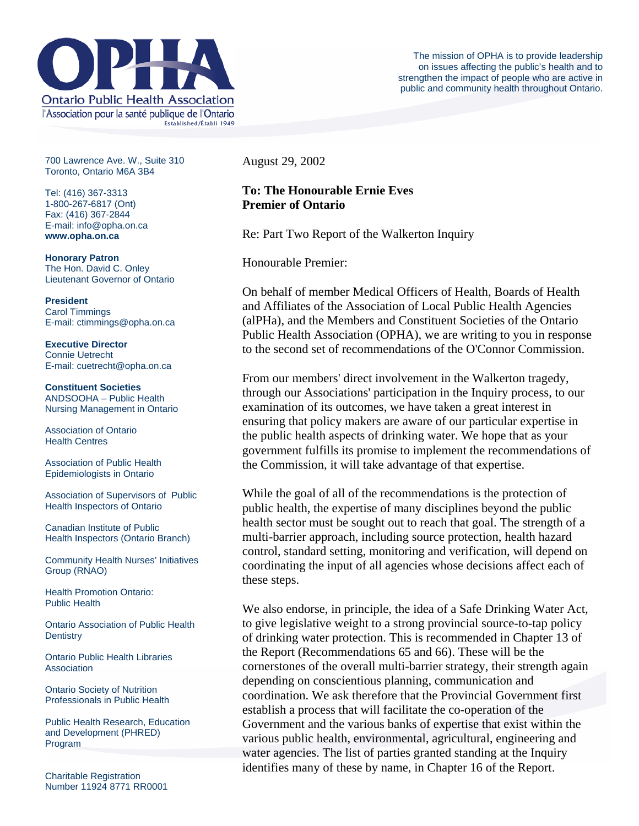

700 Lawrence Ave. W., Suite 310 Toronto, Ontario M6A 3B4

Tel: (416) 367-3313 1-800-267-6817 (Ont) Fax: (416) 367-2844 E-mail: info@opha.on.ca **www.opha.on.ca** 

**Honorary Patron**  The Hon. David C. Onley Lieutenant Governor of Ontario

**President**  Carol Timmings E-mail: ctimmings@opha.on.ca

**Executive Director**  Connie Uetrecht E-mail: cuetrecht@opha.on.ca

**Constituent Societies**  ANDSOOHA – Public Health Nursing Management in Ontario

Association of Ontario Health Centres

Association of Public Health Epidemiologists in Ontario

Association of Supervisors of Public Health Inspectors of Ontario

Canadian Institute of Public Health Inspectors (Ontario Branch)

Community Health Nurses' Initiatives Group (RNAO)

Health Promotion Ontario: Public Health

Ontario Association of Public Health **Dentistry** 

Ontario Public Health Libraries **Association** 

Ontario Society of Nutrition Professionals in Public Health

Public Health Research, Education and Development (PHRED) Program

August 29, 2002

## **To: The Honourable Ernie Eves Premier of Ontario**

Re: Part Two Report of the Walkerton Inquiry

Honourable Premier:

On behalf of member Medical Officers of Health, Boards of Health and Affiliates of the Association of Local Public Health Agencies (alPHa), and the Members and Constituent Societies of the Ontario Public Health Association (OPHA), we are writing to you in response to the second set of recommendations of the O'Connor Commission.

From our members' direct involvement in the Walkerton tragedy, through our Associations' participation in the Inquiry process, to our examination of its outcomes, we have taken a great interest in ensuring that policy makers are aware of our particular expertise in the public health aspects of drinking water. We hope that as your government fulfills its promise to implement the recommendations of the Commission, it will take advantage of that expertise.

While the goal of all of the recommendations is the protection of public health, the expertise of many disciplines beyond the public health sector must be sought out to reach that goal. The strength of a multi-barrier approach, including source protection, health hazard control, standard setting, monitoring and verification, will depend on coordinating the input of all agencies whose decisions affect each of these steps.

We also endorse, in principle, the idea of a Safe Drinking Water Act, to give legislative weight to a strong provincial source-to-tap policy of drinking water protection. This is recommended in Chapter 13 of the Report (Recommendations 65 and 66). These will be the cornerstones of the overall multi-barrier strategy, their strength again depending on conscientious planning, communication and coordination. We ask therefore that the Provincial Government first establish a process that will facilitate the co-operation of the Government and the various banks of expertise that exist within the various public health, environmental, agricultural, engineering and water agencies. The list of parties granted standing at the Inquiry identifies many of these by name, in Chapter 16 of the Report.